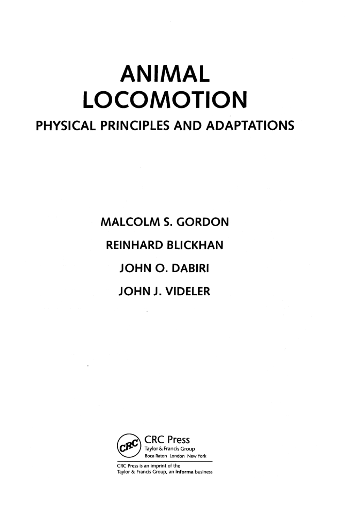# **ANIMAL LOCOMOTION PHYSICAL PRINCIPLES AND ADAPTATIONS**

**MALCOLM S. GORDON REINHARD BLICKHAN JOHN O. DABIRI JOHN J. VIDELER** 

×



CRC Press is an imprint of the Taylor & Francis Group, an **informa** business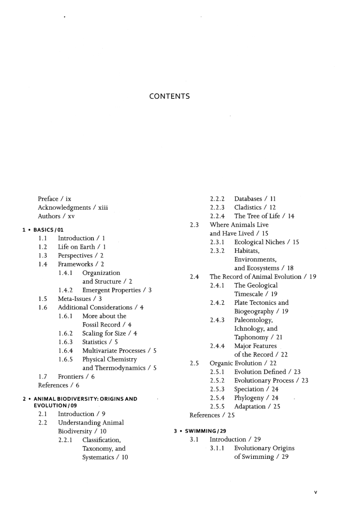# CONTENTS

Preface / ix Acknowledgments / xiii Authors / xv

## 1 • BASICS /Ol

- 1.1 Introduction / 1
- 1.2 Life on Earth / 1
- 1.3 Perspectives / 2
- 1.4 Frameworks / 2
	- 1.4.1 Organization and Structure / 2
	- 1.4.2 Emergent Properties / 3
- 1.5 Meta-Issues / 3
- 1.6 Additional Considerations / 4
	- 1.6.1 More about the Fossil Record / 4
	- 1.6.2 Scaling for Size / 4
	- 1.6.3 Statistics / 5
	- 1.6.4 Multivariate Processes / 5
	- 1.6.5 Physical Chemistry and Thermodynamics / 5

1.7 Frontiers / 6

References / 6

#### **2 • ANIMALBIODIVERSITY:ORIGINSAND EVOLUTION/09**

- 2.1 Introduction / 9
- 2.2 Understanding Animal Biodiversity / 10
	- 2.2.1 Classification, Taxonomy, and Systematics / 10
- 2.2.2 Databases / 11
- 2.2.3 Ciadistics / 12
- 2.2.4 The Tree of Life/ 14
- 2.3 Where Animals Live
	- and Have Lived / 15
		- 2.3.1 Ecological Niches / 15
		- 2.3.2 Habitats, Environments,
			- and Ecosystems / 18
- 2.4 The Record of Animal Evolution / 19
	- 2.4.1 The Geological Timescale / 19
	- 2.4.2 Plate Tectonics and Biogeography / 19
	- 2.4.3 Paleontology, Ichnology, and

Taphonomy / 21

- 2.4.4 Major Features of the Record/ 22
- 2.5 Organic Evolution / 22
	- 2.5.1 Evolution Defined / 23
	- 2.5.2 Evolutionary Process / 23
	- 2.5.3 Speciation / 24
	- 2.5.4 Phylogeny / 24
	- 2.5.5 Adaptation / 25
- References / 25
- **3 SWIMMING/29** 
	- 3.1 Introduction / 29
		- 3.1.1 Evolutionary Origins of Swimming / 29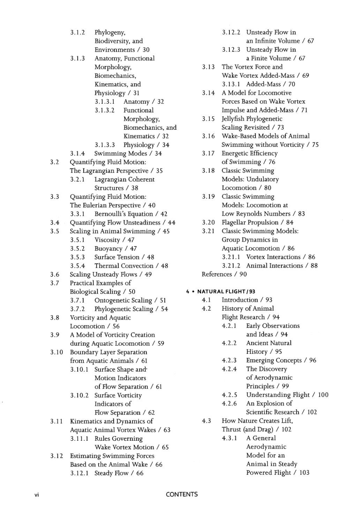|      | 3.1.2  | Phylogeny,                         |
|------|--------|------------------------------------|
|      |        | Biodiversity, and                  |
|      |        | Environments / 30                  |
|      | 3.1.3  | Anatomy, Functional                |
|      |        | Morphology,                        |
|      |        | Biomechanics,                      |
|      |        | Kinematics, and                    |
|      |        | Physiology / 31                    |
|      |        | 3.1.3.1 Anatomy / 32               |
|      |        | 3.1.3.2<br>Functional              |
|      |        | Morphology,                        |
|      |        | Biomechanics, and                  |
|      |        |                                    |
|      |        | Kinematics / 32                    |
|      |        | Physiology / 34<br>3.1.3.3         |
|      | 3.1.4  | Swimming Modes / 34                |
| 3.2  |        | Quantifying Fluid Motion:          |
|      |        | The Lagrangian Perspective / 35    |
|      | 3.2.1  | Lagrangian Coherent                |
|      |        | Structures / 38                    |
| 3.3  |        | Quantifying Fluid Motion:          |
|      |        | The Eulerian Perspective / 40      |
|      | 3.3.1  | Bernoulli's Equation / 42          |
| 3.4  |        | Quantifying Flow Unsteadiness / 44 |
| 3.5  |        | Scaling in Animal Swimming / 45    |
|      |        | 3.5.1 Viscosity / 47               |
|      | 3.5.2  | Buoyancy / 47                      |
|      | 3.5.3  | Surface Tension / 48               |
|      | 3.5.4  | Thermal Convection / 48            |
| 3.6  |        | Scaling Unsteady Flows / 49        |
| 3.7  |        | Practical Examples of              |
|      |        | Biological Scaling / 50            |
|      | 3.7.1  | Ontogenetic Scaling / 51           |
|      | 3.7.2  | Phylogenetic Scaling / 54          |
| 3.8  |        | Vorticity and Aquatic              |
|      |        | Locomotion / 56                    |
| 3.9  |        | A Model of Vorticity Creation      |
|      |        | during Aquatic Locomotion / 59     |
| 3.10 |        | Boundary Layer Separation          |
|      |        | from Aquatic Animals / 61          |
|      | 3.10.1 | Surface Shape and <sup>.</sup>     |
|      |        | Motion Indicators                  |
|      |        | of Flow Separation / 61            |
|      | 3.10.2 | Surface Vorticity                  |
|      |        | Indicators of                      |
|      |        | Flow Separation / 62               |
| 3.11 |        | Kinematics and Dynamics of         |
|      |        | Aquatic Animal Vortex Wakes / 63   |
|      | 3.11.1 | <b>Rules Governing</b>             |
|      |        | Wake Vortex Motion / 65            |
| 3.12 |        | <b>Estimating Swimming Forces</b>  |
|      |        | Based on the Animal Wake / 66      |
|      |        | 3.12.1 Steady Flow / 66            |

- 3.12.2 Unsteady Flow in
	- an Infinite Volume / 67
- 3.12.3 Unsteady Flow in a Finite Volume / 67
- 3.13 The Vortex Force and Wake Vortex Added-Mass / 69 3.13.1 Added-Mass / 70
- 3.14 A Model for Locomotive Forces Based on Wake Vortex Impulse and Added-Mass / 71
- 3.15 Jellyfish Phylogenetic Scaling Revisited / 73
- 3.16 Wake-Based Models of Animal Swimming without Vorticity / 75
- 3.17 Energetic Efficiency of Swimming / 76
- 3.18 Classic Swimming Models: Undulatory Locomotion / 80
- 3.19 Classic Swimming Models: Locomotion at Low Reynolds Numbers / 83
- 3.20 Flagellar Propulsion / 84
- 3.21 Classic Swimming Models: Group Dynamics in Aquatic Locomotion / 86 3.21.1 Vortex Interactions / 86 3.21.2 Animal Interactions / 88
- References / 90

## **4 • NATURAL FLIGHT/93**

- 4.1 Introduction / 93
- 4.2 History of Animal Flight Research / 94
	- 4.2.1 Early Observations and Ideas / 94
	- 4.2.2 Ancient Natural History / 95
	- 4.2.3 Emerging Concepts / 96
	- 4.2.4 The Discovery of Aerodynamic Principles / 99
	- 4.2.5 Understanding Flight / 100
	- 4.2.6 An Explosion of
	- Scientific Research / 102
- 4.3 How Nature Creates Lift, Thrust (and Drag) / 102
	- 4.3.1 A General Aerodynamic Model for an Animal in Steady Powered Flight / 103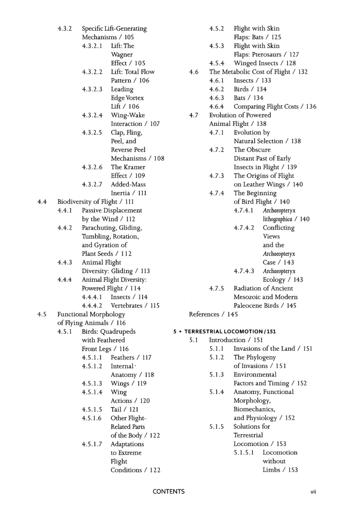|                                                  | 4.3.2 |                              | Specific Lift-Generating |    |  |  |
|--------------------------------------------------|-------|------------------------------|--------------------------|----|--|--|
|                                                  |       |                              | Mechanisms / 105         |    |  |  |
|                                                  |       | 4.3.2.1                      | Lift: The                |    |  |  |
|                                                  |       |                              | Wagner                   |    |  |  |
|                                                  |       |                              | Effect / 105             |    |  |  |
|                                                  |       | 4.3.2.2                      | Lift: Total Flow         |    |  |  |
|                                                  |       |                              | Pattern / 106            |    |  |  |
|                                                  |       | 4.3.2.3                      | Leading                  |    |  |  |
|                                                  |       |                              | Edge Vortex              |    |  |  |
|                                                  |       |                              | Lift / 106               |    |  |  |
|                                                  |       | 4.3.2.4                      | Wing-Wake                |    |  |  |
|                                                  |       |                              | Interaction / 107        |    |  |  |
|                                                  |       | 4.3.2.5                      | Clap, Fling,             |    |  |  |
|                                                  |       |                              | Peel, and                |    |  |  |
|                                                  |       |                              | Reverse Peel             |    |  |  |
|                                                  |       |                              | Mechanisms / 108         |    |  |  |
|                                                  |       | 4.3.2.6                      | The Kramer               |    |  |  |
|                                                  |       |                              | Effect / 109             |    |  |  |
|                                                  |       | 4.3.2.7                      | Added-Mass               |    |  |  |
|                                                  |       |                              | Inertia / 111            |    |  |  |
|                                                  |       | Biodiversity of Flight / 111 |                          |    |  |  |
|                                                  | 4.4.1 |                              | Passive Displacement     |    |  |  |
|                                                  |       |                              | by the Wind / 112        |    |  |  |
|                                                  | 4.4.2 |                              | Parachuting, Gliding,    |    |  |  |
|                                                  |       | Tumbling, Rotation,          |                          |    |  |  |
|                                                  |       | and Gyration of              |                          |    |  |  |
|                                                  |       |                              | Plant Seeds / 112        |    |  |  |
|                                                  | 4.4.3 | Animal Flight                |                          |    |  |  |
|                                                  |       |                              | Diversity: Gliding / 113 |    |  |  |
|                                                  | 4.4.4 |                              | Animal Flight Diversity: |    |  |  |
|                                                  |       |                              | Powered Flight / 114     |    |  |  |
|                                                  |       | 4.4.4.1                      | Insects / 114            |    |  |  |
|                                                  |       | 4.4.4.2                      | Vertebrates / 115        |    |  |  |
|                                                  |       |                              |                          |    |  |  |
| Functional Morphology<br>of Flying Animals / 116 |       |                              |                          |    |  |  |
|                                                  | 4.5.1 |                              | Birds: Quadrupeds        | 5. |  |  |
|                                                  |       | with Feathered               |                          |    |  |  |
|                                                  |       | Front Legs / 116             |                          |    |  |  |
|                                                  |       | 4.5.1.1                      | Feathers / 117           |    |  |  |
|                                                  |       | 4.5.1.2                      | Internal·                |    |  |  |
|                                                  |       |                              | Anatomy / 118            |    |  |  |
|                                                  |       | 4.5.1.3                      | Wings / 119              |    |  |  |
|                                                  |       | 4.5.1.4                      | Wing                     |    |  |  |
|                                                  |       |                              | Actions / 120            |    |  |  |
|                                                  |       | 4.5.1.5                      | Tail / 121               |    |  |  |
|                                                  |       | 4.5.1.6                      | Other Flight-            |    |  |  |
|                                                  |       |                              | <b>Related Parts</b>     |    |  |  |
|                                                  |       |                              | of the Body / 122        |    |  |  |
|                                                  |       | 4.5.1.7                      | Adaptations              |    |  |  |
|                                                  |       |                              | to Extreme               |    |  |  |
|                                                  |       |                              | Flight                   |    |  |  |
|                                                  |       |                              | Conditions / 122         |    |  |  |

 $4.4$ 

 $4.5$ 

| 4.5.2 | Flight with Skin |
|-------|------------------|
|-------|------------------|

- Flaps: Bats / 125
- 4.5.3 Flight with Skin Flaps: Pterosaurs / 127
- 4.5.4 Winged Insects / 128
- 4.6 The Metabolie Cost of Flight / 132
	- 4.6.1 Insects / 133
	- 4.6.2 Birds / 134
	- 4.6.3 Bats / 134
	- 4.6.4 Comparing Flight Costs / 136
- 4.7 Evolution of Powered
	- Animal Flight / 138
	- 4.7.1 Evolution by
	- Natural Selection / 138 4.7.2 The Obscure
		- Distant Past of Early Insects in Flight / 139
	- 4.7.3 The Origins of Flight
	- on Leather Wings / 140 4.7.4 The Beginning
		- of Bird Flight / 140
		- 4.7.4.1 Archaeopteryx lithographica / 140
			- 4.7.4.2 Confiicting Views and the Archaeopteryx Case / 143 4.7.4.3 Archaeopteryx
	- Ecology / 143 4.7.5 Radiation of Ancient
		- Mesozoic and Modern Paleocene Birds / 145
- References / 145

## **TERRESTRIALLOCOMOTION/151**

- 5.1 Introduction / 151
	- 5.1.1 Invasions of the Land / 151
	- 5.1.2 The Phylogeny of Invasions / 151
	- 5.1.3 Environmental
	- Factors and Timing / 152
	- 5.1.4 Anatomy, Functional Morphology, Biomechanics,
		- and Physiology / 152
	- 5.1.5 Solutions for Terrestrial Locomotion / 153 5.1.5.1 Locomotion

without

Limbs / 153